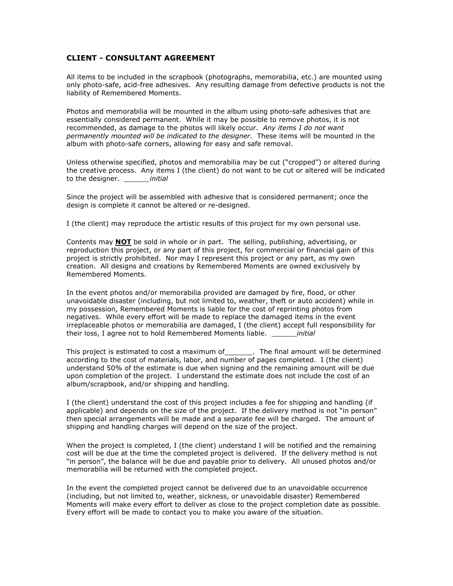## CLIENT - CONSULTANT AGREEMENT

All items to be included in the scrapbook (photographs, memorabilia, etc.) are mounted using only photo-safe, acid-free adhesives. Any resulting damage from defective products is not the liability of Remembered Moments.

Photos and memorabilia will be mounted in the album using photo-safe adhesives that are essentially considered permanent. While it may be possible to remove photos, it is not recommended, as damage to the photos will likely occur. Any items I do not want permanently mounted will be indicated to the designer. These items will be mounted in the album with photo-safe corners, allowing for easy and safe removal.

Unless otherwise specified, photos and memorabilia may be cut ("cropped") or altered during the creative process. Any items I (the client) do not want to be cut or altered will be indicated to the designer. *initial* 

Since the project will be assembled with adhesive that is considered permanent; once the design is complete it cannot be altered or re-designed.

I (the client) may reproduce the artistic results of this project for my own personal use.

Contents may NOT be sold in whole or in part. The selling, publishing, advertising, or reproduction this project, or any part of this project, for commercial or financial gain of this project is strictly prohibited. Nor may I represent this project or any part, as my own creation. All designs and creations by Remembered Moments are owned exclusively by Remembered Moments.

In the event photos and/or memorabilia provided are damaged by fire, flood, or other unavoidable disaster (including, but not limited to, weather, theft or auto accident) while in my possession, Remembered Moments is liable for the cost of reprinting photos from negatives. While every effort will be made to replace the damaged items in the event irreplaceable photos or memorabilia are damaged, I (the client) accept full responsibility for their loss, I agree not to hold Remembered Moments liable. *initial* 

This project is estimated to cost a maximum of \_\_\_\_\_\_\_. The final amount will be determined according to the cost of materials, labor, and number of pages completed. I (the client) understand 50% of the estimate is due when signing and the remaining amount will be due upon completion of the project. I understand the estimate does not include the cost of an album/scrapbook, and/or shipping and handling.

I (the client) understand the cost of this project includes a fee for shipping and handling (if applicable) and depends on the size of the project. If the delivery method is not "in person" then special arrangements will be made and a separate fee will be charged. The amount of shipping and handling charges will depend on the size of the project.

When the project is completed, I (the client) understand I will be notified and the remaining cost will be due at the time the completed project is delivered. If the delivery method is not "in person", the balance will be due and payable prior to delivery. All unused photos and/or memorabilia will be returned with the completed project.

In the event the completed project cannot be delivered due to an unavoidable occurrence (including, but not limited to, weather, sickness, or unavoidable disaster) Remembered Moments will make every effort to deliver as close to the project completion date as possible. Every effort will be made to contact you to make you aware of the situation.